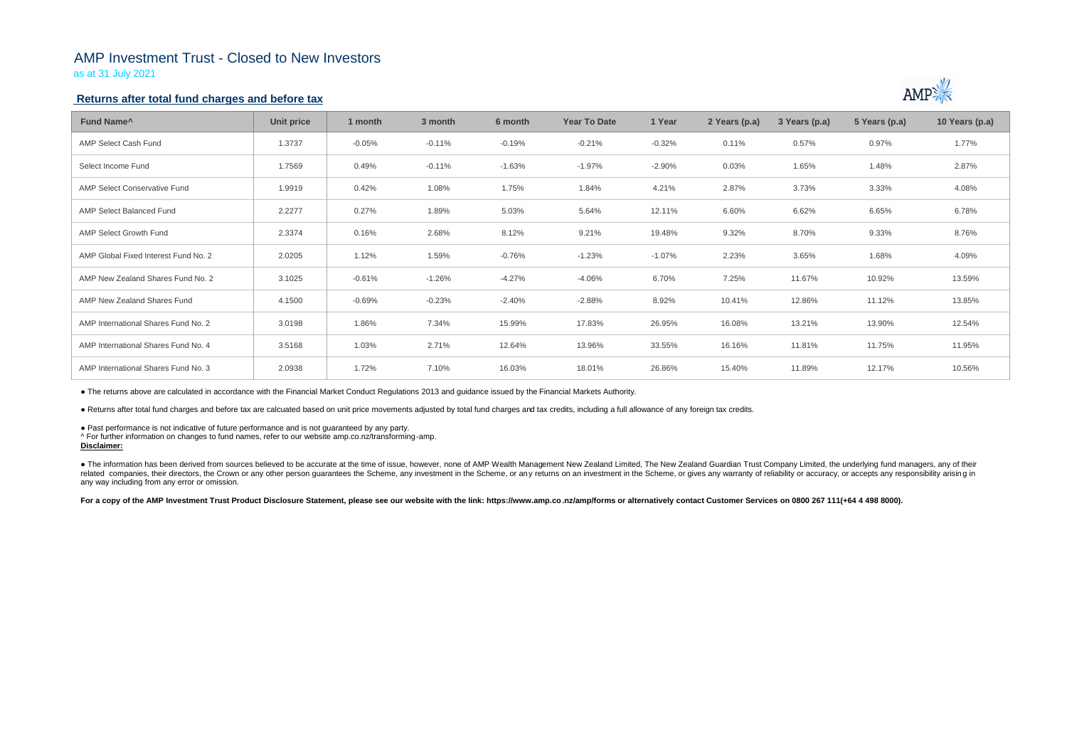## AMP Investment Trust - Closed to New Investors

as at 31 July 2021

### **Returns after total fund charges and before tax**

| Fund Name <sup>^</sup>               | <b>Unit price</b> | 1 month  | 3 month  | 6 month  | <b>Year To Date</b> | 1 Year   | 2 Years (p.a) | 3 Years (p.a) | 5 Years (p.a) | 10 Years (p.a) |
|--------------------------------------|-------------------|----------|----------|----------|---------------------|----------|---------------|---------------|---------------|----------------|
| AMP Select Cash Fund                 | 1.3737            | $-0.05%$ | $-0.11%$ | $-0.19%$ | $-0.21%$            | $-0.32%$ | 0.11%         | 0.57%         | 0.97%         | 1.77%          |
| Select Income Fund                   | 1.7569            | 0.49%    | $-0.11%$ | $-1.63%$ | $-1.97%$            | $-2.90%$ | 0.03%         | 1.65%         | 1.48%         | 2.87%          |
| AMP Select Conservative Fund         | 1.9919            | 0.42%    | 1.08%    | 1.75%    | 1.84%               | 4.21%    | 2.87%         | 3.73%         | 3.33%         | 4.08%          |
| <b>AMP Select Balanced Fund</b>      | 2.2277            | 0.27%    | 1.89%    | 5.03%    | 5.64%               | 12.11%   | 6.60%         | 6.62%         | 6.65%         | 6.78%          |
| <b>AMP Select Growth Fund</b>        | 2.3374            | 0.16%    | 2.68%    | 8.12%    | 9.21%               | 19.48%   | 9.32%         | 8.70%         | 9.33%         | 8.76%          |
| AMP Global Fixed Interest Fund No. 2 | 2.0205            | 1.12%    | 1.59%    | $-0.76%$ | $-1.23%$            | $-1.07%$ | 2.23%         | 3.65%         | 1.68%         | 4.09%          |
| AMP New Zealand Shares Fund No. 2    | 3.1025            | $-0.61%$ | -1.26%   | $-4.27%$ | $-4.06%$            | 6.70%    | 7.25%         | 11.67%        | 10.92%        | 13.59%         |
| AMP New Zealand Shares Fund          | 4.1500            | $-0.69%$ | $-0.23%$ | $-2.40%$ | $-2.88%$            | 8.92%    | 10.41%        | 12.86%        | 11.12%        | 13.85%         |
| AMP International Shares Fund No. 2  | 3.0198            | 1.86%    | 7.34%    | 15.99%   | 17.83%              | 26.95%   | 16.08%        | 13.21%        | 13.90%        | 12.54%         |
| AMP International Shares Fund No. 4  | 3.5168            | 1.03%    | 2.71%    | 12.64%   | 13.96%              | 33.55%   | 16.16%        | 11.81%        | 11.75%        | 11.95%         |
| AMP International Shares Fund No. 3  | 2.0938            | 1.72%    | 7.10%    | 16.03%   | 18.01%              | 26.86%   | 15.40%        | 11.89%        | 12.17%        | 10.56%         |

• The information has been derived from sources believed to be accurate at the time of issue, however, none of AMP Wealth Management New Zealand Limited, The New Zealand Guardian Trust Company Limited, the underlying fund related companies, their directors, the Crown or any other person quarantees the Scheme, any investment in the Scheme, or any returns on an investment in the Scheme, or gives any warranty of reliability or accuracy, or acc any way including from any error or omission.

For a copy of the AMP Investment Trust Product Disclosure Statement, please see our website with the link: https://www.amp.co.nz/amp/forms or alternatively contact Customer Services on 0800 267 111(+64 4 498 8000).



● The returns above are calculated in accordance with the Financial Market Conduct Regulations 2013 and guidance issued by the Financial Markets Authority.

● Returns after total fund charges and before tax are calcuated based on unit price movements adjusted by total fund charges and tax credits, including a full allowance of any foreign tax credits.

● Past performance is not indicative of future performance and is not guaranteed by any party.

^ For further information on changes to fund names, refer to our website amp.co.nz/transforming-amp.

## **Disclaimer:**